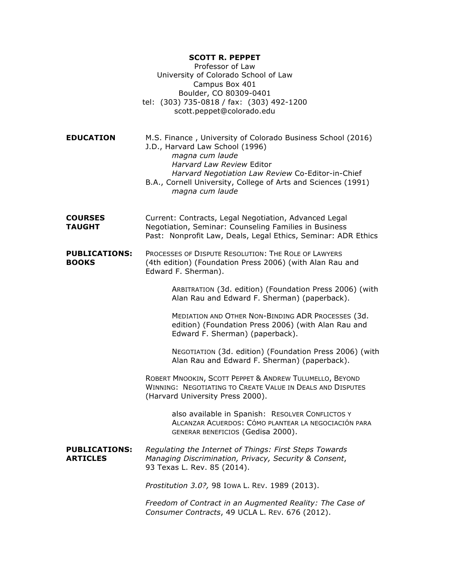## **SCOTT R. PEPPET**

Professor of Law University of Colorado School of Law Campus Box 401 Boulder, CO 80309-0401 tel: (303) 735-0818 / fax: (303) 492-1200 scott.peppet@colorado.edu

**EDUCATION** M.S. Finance, University of Colorado Business School (2016) J.D., Harvard Law School (1996) *magna cum laude Harvard Law Review* Editor *Harvard Negotiation Law Review* Co-Editor-in-Chief B.A., Cornell University, College of Arts and Sciences (1991) *magna cum laude*

**COURSES** Current: Contracts, Legal Negotiation, Advanced Legal **TAUGHT** Negotiation, Seminar: Counseling Families in Business Past: Nonprofit Law, Deals, Legal Ethics, Seminar: ADR Ethics

## **PUBLICATIONS:** PROCESSES OF DISPUTE RESOLUTION: THE ROLE OF LAWYERS **BOOKS** (4th edition) (Foundation Press 2006) (with Alan Rau and Edward F. Sherman).

ARBITRATION (3d. edition) (Foundation Press 2006) (with Alan Rau and Edward F. Sherman) (paperback).

MEDIATION AND OTHER NON-BINDING ADR PROCESSES (3d. edition) (Foundation Press 2006) (with Alan Rau and Edward F. Sherman) (paperback).

NEGOTIATION (3d. edition) (Foundation Press 2006) (with Alan Rau and Edward F. Sherman) (paperback).

ROBERT MNOOKIN, SCOTT PEPPET & ANDREW TULUMELLO, BEYOND WINNING: NEGOTIATING TO CREATE VALUE IN DEALS AND DISPUTES (Harvard University Press 2000).

> also available in Spanish: RESOLVER CONFLICTOS Y ALCANZAR ACUERDOS: CÓMO PLANTEAR LA NEGOCIACIÓN PARA GENERAR BENEFICIOS (Gedisa 2000).

## **PUBLICATIONS:** *Regulating the Internet of Things: First Steps Towards* **ARTICLES** *Managing Discrimination, Privacy, Security & Consent*, 93 Texas L. Rev. 85 (2014).

*Prostitution 3.0?,* 98 IOWA L. REV. 1989 (2013).

*Freedom of Contract in an Augmented Reality: The Case of Consumer Contracts*, 49 UCLA L. REV. 676 (2012).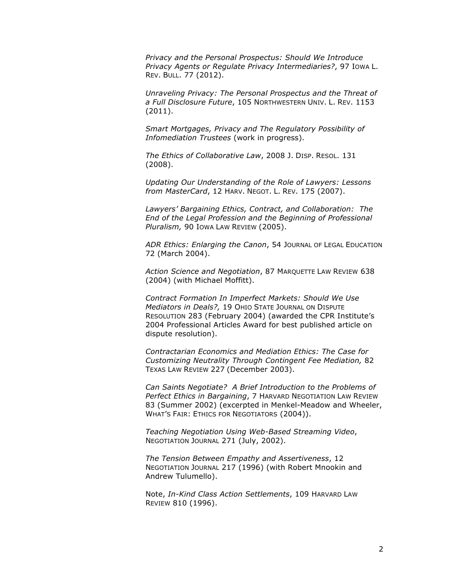*Privacy and the Personal Prospectus: Should We Introduce Privacy Agents or Regulate Privacy Intermediaries?*, 97 IOWA L. REV. BULL. 77 (2012).

*Unraveling Privacy: The Personal Prospectus and the Threat of a Full Disclosure Future*, 105 NORTHWESTERN UNIV. L. REV. 1153 (2011).

*Smart Mortgages, Privacy and The Regulatory Possibility of Infomediation Trustees* (work in progress).

*The Ethics of Collaborative Law*, 2008 J. DISP. RESOL. 131 (2008).

*Updating Our Understanding of the Role of Lawyers: Lessons from MasterCard*, 12 HARV. NEGOT. L. REV. 175 (2007).

*Lawyers' Bargaining Ethics, Contract, and Collaboration: The End of the Legal Profession and the Beginning of Professional Pluralism,* 90 IOWA LAW REVIEW (2005).

*ADR Ethics: Enlarging the Canon*, 54 JOURNAL OF LEGAL EDUCATION 72 (March 2004).

*Action Science and Negotiation*, 87 MARQUETTE LAW REVIEW 638 (2004) (with Michael Moffitt).

*Contract Formation In Imperfect Markets: Should We Use Mediators in Deals?,* 19 OHIO STATE JOURNAL ON DISPUTE RESOLUTION 283 (February 2004) (awarded the CPR Institute's 2004 Professional Articles Award for best published article on dispute resolution).

*Contractarian Economics and Mediation Ethics: The Case for Customizing Neutrality Through Contingent Fee Mediation,* 82 TEXAS LAW REVIEW 227 (December 2003).

*Can Saints Negotiate? A Brief Introduction to the Problems of Perfect Ethics in Bargaining*, 7 HARVARD NEGOTIATION LAW REVIEW 83 (Summer 2002) (excerpted in Menkel-Meadow and Wheeler, WHAT'S FAIR: ETHICS FOR NEGOTIATORS (2004)).

*Teaching Negotiation Using Web-Based Streaming Video*, NEGOTIATION JOURNAL 271 (July, 2002).

*The Tension Between Empathy and Assertiveness*, 12 NEGOTIATION JOURNAL 217 (1996) (with Robert Mnookin and Andrew Tulumello).

Note, *In-Kind Class Action Settlements*, 109 HARVARD LAW REVIEW 810 (1996).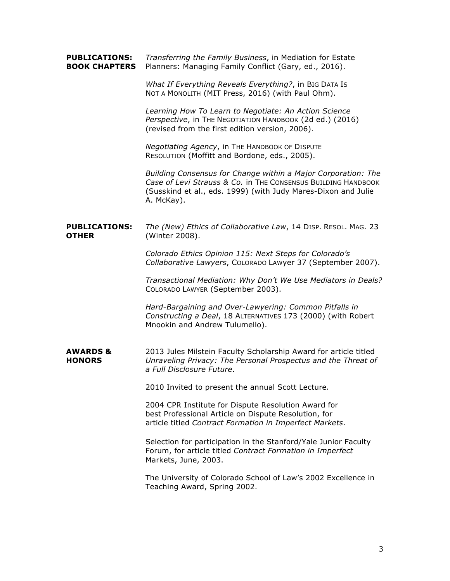## **PUBLICATIONS:** *Transferring the Family Business*, in Mediation for Estate **BOOK CHAPTERS** Planners: Managing Family Conflict (Gary, ed., 2016).

*What If Everything Reveals Everything?*, in BIG DATA IS NOT A MONOLITH (MIT Press, 2016) (with Paul Ohm).

*Learning How To Learn to Negotiate: An Action Science Perspective*, in THE NEGOTIATION HANDBOOK (2d ed.) (2016) (revised from the first edition version, 2006).

*Negotiating Agency*, in THE HANDBOOK OF DISPUTE RESOLUTION (Moffitt and Bordone, eds., 2005).

*Building Consensus for Change within a Major Corporation: The Case of Levi Strauss & Co.* in THE CONSENSUS BUILDING HANDBOOK (Susskind et al., eds. 1999) (with Judy Mares-Dixon and Julie A. McKay).

# **PUBLICATIONS:** *The (New) Ethics of Collaborative Law*, 14 DISP. RESOL. MAG. 23 **OTHER** (Winter 2008).

*Colorado Ethics Opinion 115: Next Steps for Colorado's Collaborative Lawyers*, COLORADO LAWyer 37 (September 2007).

*Transactional Mediation: Why Don't We Use Mediators in Deals?* COLORADO LAWYER (September 2003).

*Hard-Bargaining and Over-Lawyering: Common Pitfalls in Constructing a Deal*, 18 ALTERNATIVES 173 (2000) (with Robert Mnookin and Andrew Tulumello).

## **AWARDS &** 2013 Jules Milstein Faculty Scholarship Award for article titled **HONORS** *Unraveling Privacy: The Personal Prospectus and the Threat of a Full Disclosure Future*.

2010 Invited to present the annual Scott Lecture.

2004 CPR Institute for Dispute Resolution Award for best Professional Article on Dispute Resolution, for article titled *Contract Formation in Imperfect Markets*.

Selection for participation in the Stanford/Yale Junior Faculty Forum, for article titled *Contract Formation in Imperfect* Markets, June, 2003.

The University of Colorado School of Law's 2002 Excellence in Teaching Award, Spring 2002.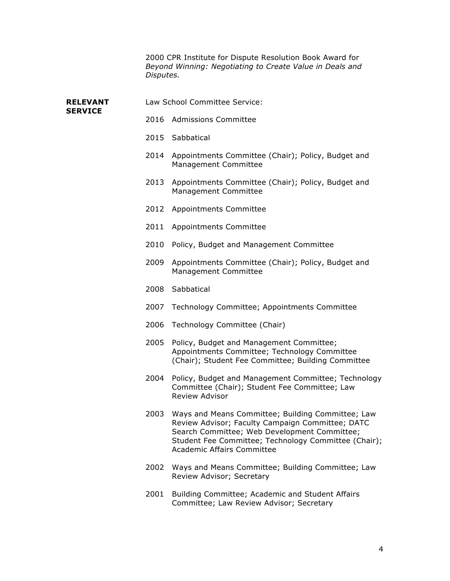2000 CPR Institute for Dispute Resolution Book Award for *Beyond Winning: Negotiating to Create Value in Deals and Disputes.*

| <b>RELEVANT</b><br><b>SERVICE</b> |      | Law School Committee Service:                                                                                                                                                                                                                      |  |
|-----------------------------------|------|----------------------------------------------------------------------------------------------------------------------------------------------------------------------------------------------------------------------------------------------------|--|
|                                   | 2016 | <b>Admissions Committee</b>                                                                                                                                                                                                                        |  |
|                                   |      | 2015 Sabbatical                                                                                                                                                                                                                                    |  |
|                                   | 2014 | Appointments Committee (Chair); Policy, Budget and<br>Management Committee                                                                                                                                                                         |  |
|                                   | 2013 | Appointments Committee (Chair); Policy, Budget and<br>Management Committee                                                                                                                                                                         |  |
|                                   | 2012 | Appointments Committee                                                                                                                                                                                                                             |  |
|                                   | 2011 | Appointments Committee                                                                                                                                                                                                                             |  |
|                                   | 2010 | Policy, Budget and Management Committee                                                                                                                                                                                                            |  |
|                                   | 2009 | Appointments Committee (Chair); Policy, Budget and<br>Management Committee                                                                                                                                                                         |  |
|                                   | 2008 | Sabbatical                                                                                                                                                                                                                                         |  |
|                                   | 2007 | Technology Committee; Appointments Committee                                                                                                                                                                                                       |  |
|                                   | 2006 | Technology Committee (Chair)                                                                                                                                                                                                                       |  |
|                                   | 2005 | Policy, Budget and Management Committee;<br>Appointments Committee; Technology Committee<br>(Chair); Student Fee Committee; Building Committee                                                                                                     |  |
|                                   | 2004 | Policy, Budget and Management Committee; Technology<br>Committee (Chair); Student Fee Committee; Law<br>Review Advisor                                                                                                                             |  |
|                                   | 2003 | Ways and Means Committee; Building Committee; Law<br>Review Advisor; Faculty Campaign Committee; DATC<br>Search Committee; Web Development Committee;<br>Student Fee Committee; Technology Committee (Chair);<br><b>Academic Affairs Committee</b> |  |
|                                   | 2002 | Ways and Means Committee; Building Committee; Law<br>Review Advisor; Secretary                                                                                                                                                                     |  |
|                                   | 2001 | Building Committee; Academic and Student Affairs<br>Committee; Law Review Advisor; Secretary                                                                                                                                                       |  |